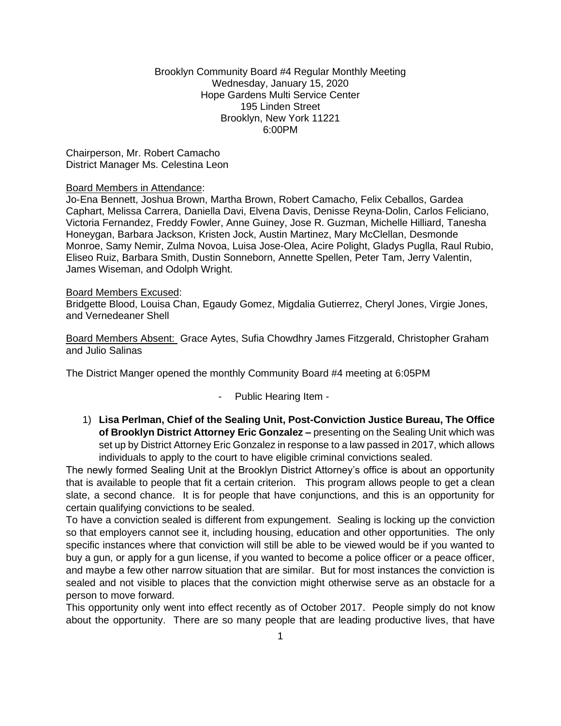## Brooklyn Community Board #4 Regular Monthly Meeting Wednesday, January 15, 2020 Hope Gardens Multi Service Center 195 Linden Street Brooklyn, New York 11221 6:00PM

Chairperson, Mr. Robert Camacho District Manager Ms. Celestina Leon

#### Board Members in Attendance:

Jo-Ena Bennett, Joshua Brown, Martha Brown, Robert Camacho, Felix Ceballos, Gardea Caphart, Melissa Carrera, Daniella Davi, Elvena Davis, Denisse Reyna-Dolin, Carlos Feliciano, Victoria Fernandez, Freddy Fowler, Anne Guiney, Jose R. Guzman, Michelle Hilliard, Tanesha Honeygan, Barbara Jackson, Kristen Jock, Austin Martinez, Mary McClellan, Desmonde Monroe, Samy Nemir, Zulma Novoa, Luisa Jose-Olea, Acire Polight, Gladys Puglla, Raul Rubio, Eliseo Ruiz, Barbara Smith, Dustin Sonneborn, Annette Spellen, Peter Tam, Jerry Valentin, James Wiseman, and Odolph Wright.

#### Board Members Excused:

Bridgette Blood, Louisa Chan, Egaudy Gomez, Migdalia Gutierrez, Cheryl Jones, Virgie Jones, and Vernedeaner Shell

Board Members Absent: Grace Aytes, Sufia Chowdhry James Fitzgerald, Christopher Graham and Julio Salinas

The District Manger opened the monthly Community Board #4 meeting at 6:05PM

# - Public Hearing Item -

1) **Lisa Perlman, Chief of the Sealing Unit, Post-Conviction Justice Bureau, The Office of Brooklyn District Attorney Eric Gonzalez –** presenting on the Sealing Unit which was set up by District Attorney Eric Gonzalez in response to a law passed in 2017, which allows individuals to apply to the court to have eligible criminal convictions sealed.

The newly formed Sealing Unit at the Brooklyn District Attorney's office is about an opportunity that is available to people that fit a certain criterion. This program allows people to get a clean slate, a second chance. It is for people that have conjunctions, and this is an opportunity for certain qualifying convictions to be sealed.

To have a conviction sealed is different from expungement. Sealing is locking up the conviction so that employers cannot see it, including housing, education and other opportunities. The only specific instances where that conviction will still be able to be viewed would be if you wanted to buy a gun, or apply for a gun license, if you wanted to become a police officer or a peace officer, and maybe a few other narrow situation that are similar. But for most instances the conviction is sealed and not visible to places that the conviction might otherwise serve as an obstacle for a person to move forward.

This opportunity only went into effect recently as of October 2017. People simply do not know about the opportunity. There are so many people that are leading productive lives, that have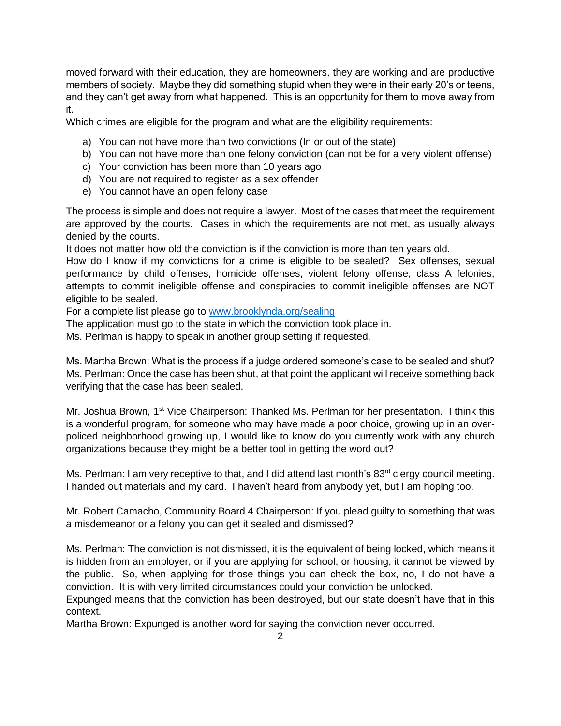moved forward with their education, they are homeowners, they are working and are productive members of society. Maybe they did something stupid when they were in their early 20's or teens, and they can't get away from what happened. This is an opportunity for them to move away from it.

Which crimes are eligible for the program and what are the eligibility requirements:

- a) You can not have more than two convictions (In or out of the state)
- b) You can not have more than one felony conviction (can not be for a very violent offense)
- c) Your conviction has been more than 10 years ago
- d) You are not required to register as a sex offender
- e) You cannot have an open felony case

The process is simple and does not require a lawyer. Most of the cases that meet the requirement are approved by the courts. Cases in which the requirements are not met, as usually always denied by the courts.

It does not matter how old the conviction is if the conviction is more than ten years old.

How do I know if my convictions for a crime is eligible to be sealed? Sex offenses, sexual performance by child offenses, homicide offenses, violent felony offense, class A felonies, attempts to commit ineligible offense and conspiracies to commit ineligible offenses are NOT eligible to be sealed.

For a complete list please go to [www.brooklynda.org/sealing](http://www.brooklynda.org/sealing) 

The application must go to the state in which the conviction took place in.

Ms. Perlman is happy to speak in another group setting if requested.

Ms. Martha Brown: What is the process if a judge ordered someone's case to be sealed and shut? Ms. Perlman: Once the case has been shut, at that point the applicant will receive something back verifying that the case has been sealed.

Mr. Joshua Brown, 1<sup>st</sup> Vice Chairperson: Thanked Ms. Perlman for her presentation. I think this is a wonderful program, for someone who may have made a poor choice, growing up in an overpoliced neighborhood growing up, I would like to know do you currently work with any church organizations because they might be a better tool in getting the word out?

Ms. Perlman: I am very receptive to that, and I did attend last month's 83<sup>rd</sup> clergy council meeting. I handed out materials and my card. I haven't heard from anybody yet, but I am hoping too.

Mr. Robert Camacho, Community Board 4 Chairperson: If you plead guilty to something that was a misdemeanor or a felony you can get it sealed and dismissed?

Ms. Perlman: The conviction is not dismissed, it is the equivalent of being locked, which means it is hidden from an employer, or if you are applying for school, or housing, it cannot be viewed by the public. So, when applying for those things you can check the box, no, I do not have a conviction. It is with very limited circumstances could your conviction be unlocked.

Expunged means that the conviction has been destroyed, but our state doesn't have that in this context.

Martha Brown: Expunged is another word for saying the conviction never occurred.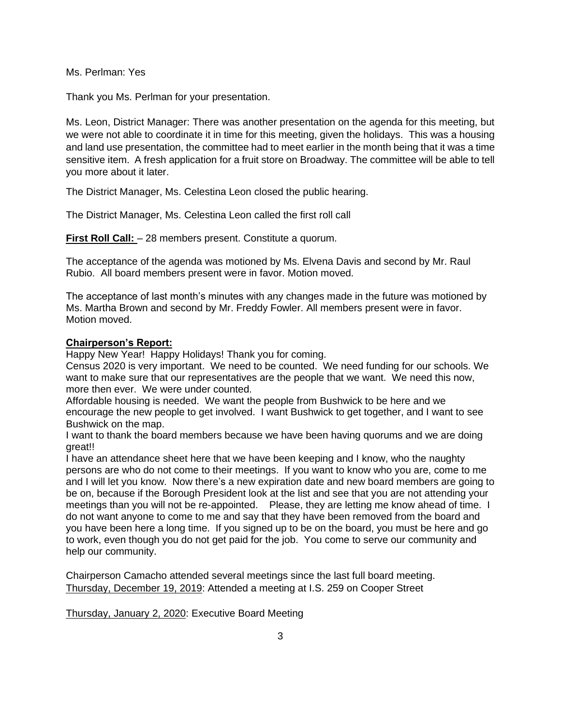Ms. Perlman: Yes

Thank you Ms. Perlman for your presentation.

Ms. Leon, District Manager: There was another presentation on the agenda for this meeting, but we were not able to coordinate it in time for this meeting, given the holidays. This was a housing and land use presentation, the committee had to meet earlier in the month being that it was a time sensitive item. A fresh application for a fruit store on Broadway. The committee will be able to tell you more about it later.

The District Manager, Ms. Celestina Leon closed the public hearing.

The District Manager, Ms. Celestina Leon called the first roll call

**First Roll Call:**  $-28$  members present. Constitute a quorum.

The acceptance of the agenda was motioned by Ms. Elvena Davis and second by Mr. Raul Rubio. All board members present were in favor. Motion moved.

The acceptance of last month's minutes with any changes made in the future was motioned by Ms. Martha Brown and second by Mr. Freddy Fowler. All members present were in favor. Motion moved.

#### **Chairperson's Report:**

Happy New Year! Happy Holidays! Thank you for coming.

Census 2020 is very important. We need to be counted. We need funding for our schools. We want to make sure that our representatives are the people that we want. We need this now, more then ever. We were under counted.

Affordable housing is needed. We want the people from Bushwick to be here and we encourage the new people to get involved. I want Bushwick to get together, and I want to see Bushwick on the map.

I want to thank the board members because we have been having quorums and we are doing great!!

I have an attendance sheet here that we have been keeping and I know, who the naughty persons are who do not come to their meetings. If you want to know who you are, come to me and I will let you know. Now there's a new expiration date and new board members are going to be on, because if the Borough President look at the list and see that you are not attending your meetings than you will not be re-appointed. Please, they are letting me know ahead of time. I do not want anyone to come to me and say that they have been removed from the board and you have been here a long time. If you signed up to be on the board, you must be here and go to work, even though you do not get paid for the job. You come to serve our community and help our community.

Chairperson Camacho attended several meetings since the last full board meeting. Thursday, December 19, 2019: Attended a meeting at I.S. 259 on Cooper Street

Thursday, January 2, 2020: Executive Board Meeting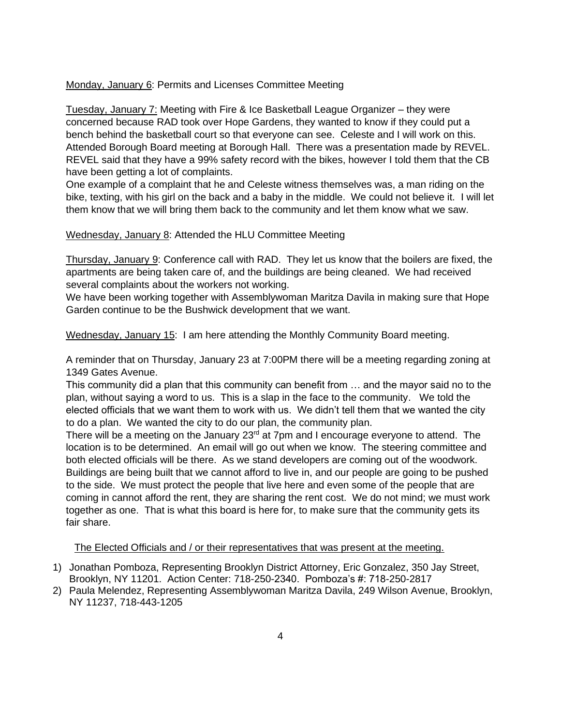Monday, January 6: Permits and Licenses Committee Meeting

Tuesday, January 7: Meeting with Fire & Ice Basketball League Organizer – they were concerned because RAD took over Hope Gardens, they wanted to know if they could put a bench behind the basketball court so that everyone can see. Celeste and I will work on this. Attended Borough Board meeting at Borough Hall. There was a presentation made by REVEL. REVEL said that they have a 99% safety record with the bikes, however I told them that the CB have been getting a lot of complaints.

One example of a complaint that he and Celeste witness themselves was, a man riding on the bike, texting, with his girl on the back and a baby in the middle. We could not believe it. I will let them know that we will bring them back to the community and let them know what we saw.

## Wednesday, January 8: Attended the HLU Committee Meeting

Thursday, January 9: Conference call with RAD. They let us know that the boilers are fixed, the apartments are being taken care of, and the buildings are being cleaned. We had received several complaints about the workers not working.

We have been working together with Assemblywoman Maritza Davila in making sure that Hope Garden continue to be the Bushwick development that we want.

Wednesday, January 15: I am here attending the Monthly Community Board meeting.

A reminder that on Thursday, January 23 at 7:00PM there will be a meeting regarding zoning at 1349 Gates Avenue.

This community did a plan that this community can benefit from … and the mayor said no to the plan, without saying a word to us. This is a slap in the face to the community. We told the elected officials that we want them to work with us. We didn't tell them that we wanted the city to do a plan. We wanted the city to do our plan, the community plan.

There will be a meeting on the January 23<sup>rd</sup> at 7pm and I encourage everyone to attend. The location is to be determined. An email will go out when we know. The steering committee and both elected officials will be there. As we stand developers are coming out of the woodwork. Buildings are being built that we cannot afford to live in, and our people are going to be pushed to the side. We must protect the people that live here and even some of the people that are coming in cannot afford the rent, they are sharing the rent cost. We do not mind; we must work together as one. That is what this board is here for, to make sure that the community gets its fair share.

The Elected Officials and / or their representatives that was present at the meeting.

- 1) Jonathan Pomboza, Representing Brooklyn District Attorney, Eric Gonzalez, 350 Jay Street, Brooklyn, NY 11201. Action Center: 718-250-2340. Pomboza's #: 718-250-2817
- 2) Paula Melendez, Representing Assemblywoman Maritza Davila, 249 Wilson Avenue, Brooklyn, NY 11237, 718-443-1205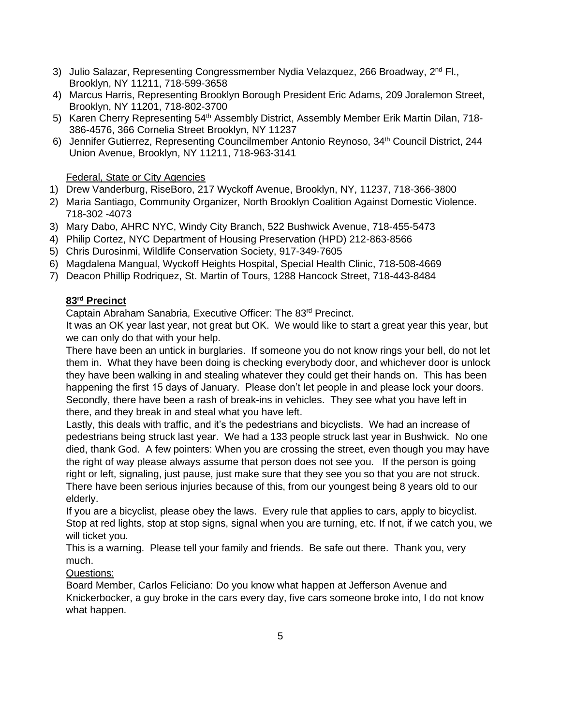- 3) Julio Salazar, Representing Congressmember Nydia Velazquez, 266 Broadway, 2<sup>nd</sup> Fl., Brooklyn, NY 11211, 718-599-3658
- 4) Marcus Harris, Representing Brooklyn Borough President Eric Adams, 209 Joralemon Street, Brooklyn, NY 11201, 718-802-3700
- 5) Karen Cherry Representing 54<sup>th</sup> Assembly District, Assembly Member Erik Martin Dilan, 718-386-4576, 366 Cornelia Street Brooklyn, NY 11237
- 6) Jennifer Gutierrez, Representing Councilmember Antonio Reynoso, 34<sup>th</sup> Council District, 244 Union Avenue, Brooklyn, NY 11211, 718-963-3141

# Federal, State or City Agencies

- 1) Drew Vanderburg, RiseBoro, 217 Wyckoff Avenue, Brooklyn, NY, 11237, 718-366-3800
- 2) Maria Santiago, Community Organizer, North Brooklyn Coalition Against Domestic Violence. 718-302 -4073
- 3) Mary Dabo, AHRC NYC, Windy City Branch, 522 Bushwick Avenue, 718-455-5473
- 4) Philip Cortez, NYC Department of Housing Preservation (HPD) 212-863-8566
- 5) Chris Durosinmi, Wildlife Conservation Society, 917-349-7605
- 6) Magdalena Mangual, Wyckoff Heights Hospital, Special Health Clinic, 718-508-4669
- 7) Deacon Phillip Rodriquez, St. Martin of Tours, 1288 Hancock Street, 718-443-8484

# **83rd Precinct**

Captain Abraham Sanabria, Executive Officer: The 83rd Precinct.

It was an OK year last year, not great but OK. We would like to start a great year this year, but we can only do that with your help.

There have been an untick in burglaries. If someone you do not know rings your bell, do not let them in. What they have been doing is checking everybody door, and whichever door is unlock they have been walking in and stealing whatever they could get their hands on. This has been happening the first 15 days of January. Please don't let people in and please lock your doors. Secondly, there have been a rash of break-ins in vehicles. They see what you have left in there, and they break in and steal what you have left.

Lastly, this deals with traffic, and it's the pedestrians and bicyclists. We had an increase of pedestrians being struck last year. We had a 133 people struck last year in Bushwick. No one died, thank God. A few pointers: When you are crossing the street, even though you may have the right of way please always assume that person does not see you. If the person is going right or left, signaling, just pause, just make sure that they see you so that you are not struck. There have been serious injuries because of this, from our youngest being 8 years old to our elderly.

If you are a bicyclist, please obey the laws. Every rule that applies to cars, apply to bicyclist. Stop at red lights, stop at stop signs, signal when you are turning, etc. If not, if we catch you, we will ticket you.

This is a warning. Please tell your family and friends. Be safe out there. Thank you, very much.

# Questions:

Board Member, Carlos Feliciano: Do you know what happen at Jefferson Avenue and Knickerbocker, a guy broke in the cars every day, five cars someone broke into, I do not know what happen.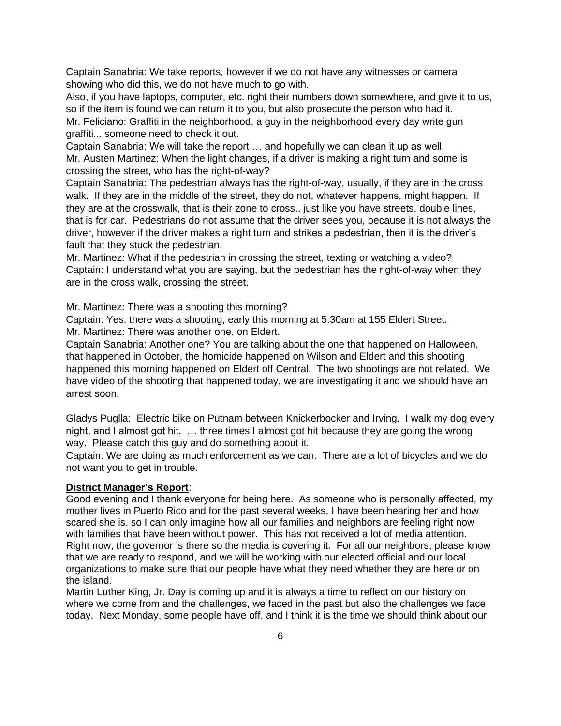Captain Sanabria: We take reports, however if we do not have any witnesses or camera showing who did this, we do not have much to go with.

Also, if you have laptops, computer, etc. right their numbers down somewhere, and give it to us, so if the item is found we can return it to you, but also prosecute the person who had it. Mr. Feliciano: Graffiti in the neighborhood, a guy in the neighborhood every day write gun graffiti... someone need to check it out.

Captain Sanabria: We will take the report … and hopefully we can clean it up as well. Mr. Austen Martinez: When the light changes, if a driver is making a right turn and some is crossing the street, who has the right-of-way?

Captain Sanabria: The pedestrian always has the right-of-way, usually, if they are in the cross walk. If they are in the middle of the street, they do not, whatever happens, might happen. If they are at the crosswalk, that is their zone to cross., just like you have streets, double lines, that is for car. Pedestrians do not assume that the driver sees you, because it is not always the driver, however if the driver makes a right turn and strikes a pedestrian, then it is the driver's fault that they stuck the pedestrian.

Mr. Martinez: What if the pedestrian in crossing the street, texting or watching a video? Captain: I understand what you are saying, but the pedestrian has the right-of-way when they are in the cross walk, crossing the street.

Mr. Martinez: There was a shooting this morning?

Captain: Yes, there was a shooting, early this morning at 5:30am at 155 Eldert Street. Mr. Martinez: There was another one, on Eldert.

Captain Sanabria: Another one? You are talking about the one that happened on Halloween, that happened in October, the homicide happened on Wilson and Eldert and this shooting happened this morning happened on Eldert off Central. The two shootings are not related. We have video of the shooting that happened today, we are investigating it and we should have an arrest soon.

Gladys Puglla: Electric bike on Putnam between Knickerbocker and Irving. I walk my dog every night, and I almost got hit. … three times I almost got hit because they are going the wrong way. Please catch this guy and do something about it.

Captain: We are doing as much enforcement as we can. There are a lot of bicycles and we do not want you to get in trouble.

### **District Manager's Report**:

Good evening and I thank everyone for being here. As someone who is personally affected, my mother lives in Puerto Rico and for the past several weeks, I have been hearing her and how scared she is, so I can only imagine how all our families and neighbors are feeling right now with families that have been without power. This has not received a lot of media attention. Right now, the governor is there so the media is covering it. For all our neighbors, please know that we are ready to respond, and we will be working with our elected official and our local organizations to make sure that our people have what they need whether they are here or on the island.

Martin Luther King, Jr. Day is coming up and it is always a time to reflect on our history on where we come from and the challenges, we faced in the past but also the challenges we face today. Next Monday, some people have off, and I think it is the time we should think about our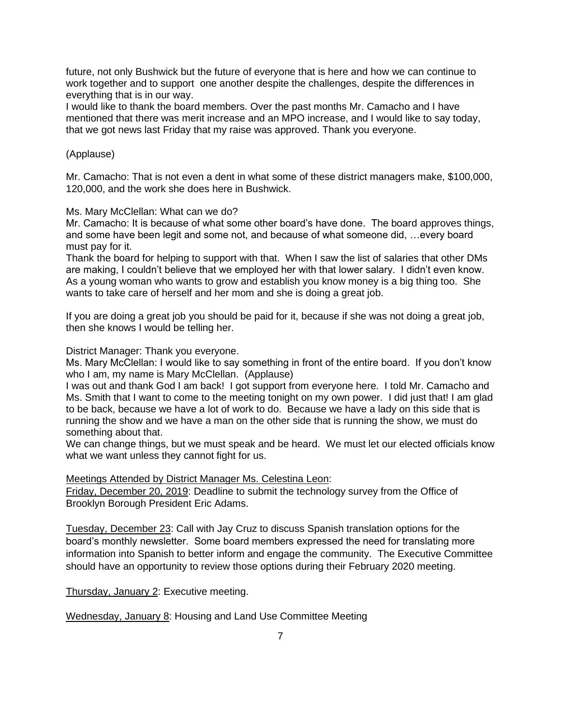future, not only Bushwick but the future of everyone that is here and how we can continue to work together and to support one another despite the challenges, despite the differences in everything that is in our way.

I would like to thank the board members. Over the past months Mr. Camacho and I have mentioned that there was merit increase and an MPO increase, and I would like to say today, that we got news last Friday that my raise was approved. Thank you everyone.

## (Applause)

Mr. Camacho: That is not even a dent in what some of these district managers make, \$100,000, 120,000, and the work she does here in Bushwick.

Ms. Mary McClellan: What can we do?

Mr. Camacho: It is because of what some other board's have done. The board approves things, and some have been legit and some not, and because of what someone did, …every board must pay for it.

Thank the board for helping to support with that. When I saw the list of salaries that other DMs are making, I couldn't believe that we employed her with that lower salary. I didn't even know. As a young woman who wants to grow and establish you know money is a big thing too. She wants to take care of herself and her mom and she is doing a great job.

If you are doing a great job you should be paid for it, because if she was not doing a great job, then she knows I would be telling her.

## District Manager: Thank you everyone.

Ms. Mary McClellan: I would like to say something in front of the entire board. If you don't know who I am, my name is Mary McClellan. (Applause)

I was out and thank God I am back! I got support from everyone here. I told Mr. Camacho and Ms. Smith that I want to come to the meeting tonight on my own power. I did just that! I am glad to be back, because we have a lot of work to do. Because we have a lady on this side that is running the show and we have a man on the other side that is running the show, we must do something about that.

We can change things, but we must speak and be heard. We must let our elected officials know what we want unless they cannot fight for us.

### Meetings Attended by District Manager Ms. Celestina Leon:

Friday, December 20, 2019: Deadline to submit the technology survey from the Office of Brooklyn Borough President Eric Adams.

Tuesday, December 23: Call with Jay Cruz to discuss Spanish translation options for the board's monthly newsletter. Some board members expressed the need for translating more information into Spanish to better inform and engage the community. The Executive Committee should have an opportunity to review those options during their February 2020 meeting.

Thursday, January 2: Executive meeting.

Wednesday, January 8: Housing and Land Use Committee Meeting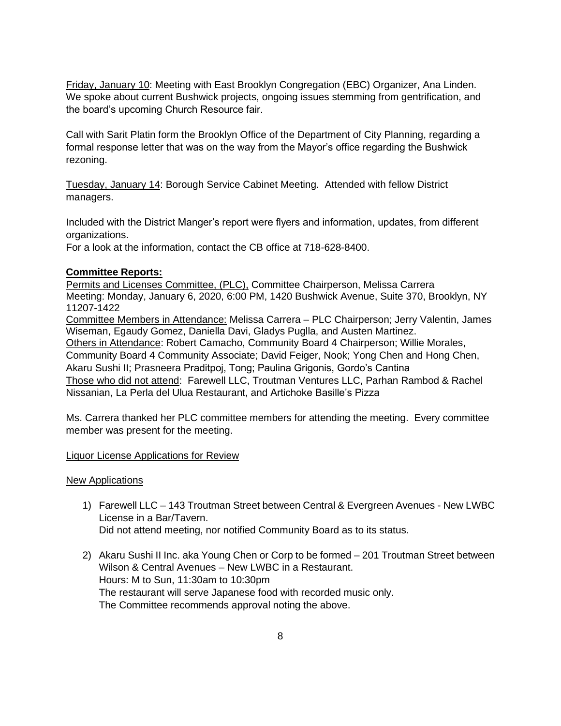Friday, January 10: Meeting with East Brooklyn Congregation (EBC) Organizer, Ana Linden. We spoke about current Bushwick projects, ongoing issues stemming from gentrification, and the board's upcoming Church Resource fair.

Call with Sarit Platin form the Brooklyn Office of the Department of City Planning, regarding a formal response letter that was on the way from the Mayor's office regarding the Bushwick rezoning.

Tuesday, January 14: Borough Service Cabinet Meeting. Attended with fellow District managers.

Included with the District Manger's report were flyers and information, updates, from different organizations.

For a look at the information, contact the CB office at 718-628-8400.

# **Committee Reports:**

Permits and Licenses Committee, (PLC), Committee Chairperson, Melissa Carrera Meeting: Monday, January 6, 2020, 6:00 PM, 1420 Bushwick Avenue, Suite 370, Brooklyn, NY 11207-1422

Committee Members in Attendance: Melissa Carrera – PLC Chairperson; Jerry Valentin, James Wiseman, Egaudy Gomez, Daniella Davi, Gladys Puglla, and Austen Martinez. Others in Attendance: Robert Camacho, Community Board 4 Chairperson; Willie Morales, Community Board 4 Community Associate; David Feiger, Nook; Yong Chen and Hong Chen, Akaru Sushi II; Prasneera Praditpoj, Tong; Paulina Grigonis, Gordo's Cantina Those who did not attend: Farewell LLC, Troutman Ventures LLC, Parhan Rambod & Rachel

Nissanian, La Perla del Ulua Restaurant, and Artichoke Basille's Pizza

Ms. Carrera thanked her PLC committee members for attending the meeting. Every committee member was present for the meeting.

Liquor License Applications for Review

# New Applications

- 1) Farewell LLC 143 Troutman Street between Central & Evergreen Avenues New LWBC License in a Bar/Tavern. Did not attend meeting, nor notified Community Board as to its status.
- 2) Akaru Sushi II Inc. aka Young Chen or Corp to be formed 201 Troutman Street between Wilson & Central Avenues – New LWBC in a Restaurant. Hours: M to Sun, 11:30am to 10:30pm The restaurant will serve Japanese food with recorded music only. The Committee recommends approval noting the above.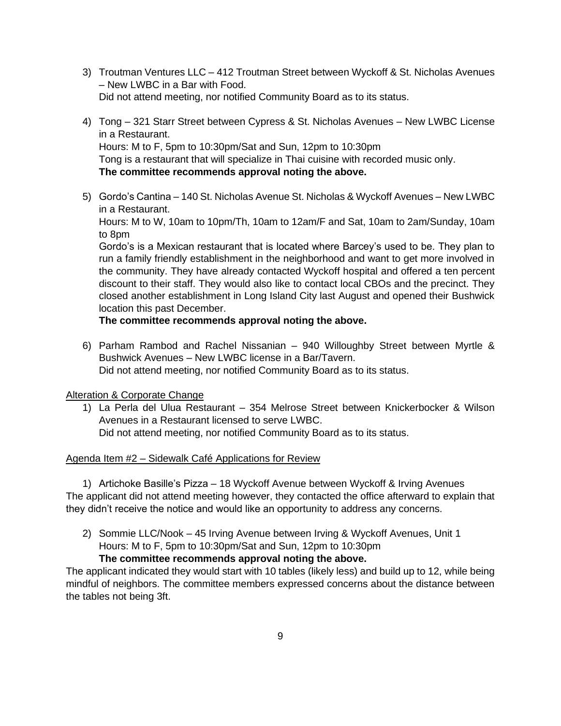- 3) Troutman Ventures LLC 412 Troutman Street between Wyckoff & St. Nicholas Avenues – New LWBC in a Bar with Food. Did not attend meeting, nor notified Community Board as to its status.
- 4) Tong 321 Starr Street between Cypress & St. Nicholas Avenues New LWBC License in a Restaurant. Hours: M to F, 5pm to 10:30pm/Sat and Sun, 12pm to 10:30pm Tong is a restaurant that will specialize in Thai cuisine with recorded music only. **The committee recommends approval noting the above.**
- 5) Gordo's Cantina 140 St. Nicholas Avenue St. Nicholas & Wyckoff Avenues New LWBC in a Restaurant.

Hours: M to W, 10am to 10pm/Th, 10am to 12am/F and Sat, 10am to 2am/Sunday, 10am to 8pm

Gordo's is a Mexican restaurant that is located where Barcey's used to be. They plan to run a family friendly establishment in the neighborhood and want to get more involved in the community. They have already contacted Wyckoff hospital and offered a ten percent discount to their staff. They would also like to contact local CBOs and the precinct. They closed another establishment in Long Island City last August and opened their Bushwick location this past December.

# **The committee recommends approval noting the above.**

6) Parham Rambod and Rachel Nissanian – 940 Willoughby Street between Myrtle & Bushwick Avenues – New LWBC license in a Bar/Tavern. Did not attend meeting, nor notified Community Board as to its status.

# Alteration & Corporate Change

1) La Perla del Ulua Restaurant – 354 Melrose Street between Knickerbocker & Wilson Avenues in a Restaurant licensed to serve LWBC. Did not attend meeting, nor notified Community Board as to its status.

# Agenda Item #2 – Sidewalk Café Applications for Review

1) Artichoke Basille's Pizza – 18 Wyckoff Avenue between Wyckoff & Irving Avenues The applicant did not attend meeting however, they contacted the office afterward to explain that they didn't receive the notice and would like an opportunity to address any concerns.

2) Sommie LLC/Nook – 45 Irving Avenue between Irving & Wyckoff Avenues, Unit 1 Hours: M to F, 5pm to 10:30pm/Sat and Sun, 12pm to 10:30pm

### **The committee recommends approval noting the above.**

The applicant indicated they would start with 10 tables (likely less) and build up to 12, while being mindful of neighbors. The committee members expressed concerns about the distance between the tables not being 3ft.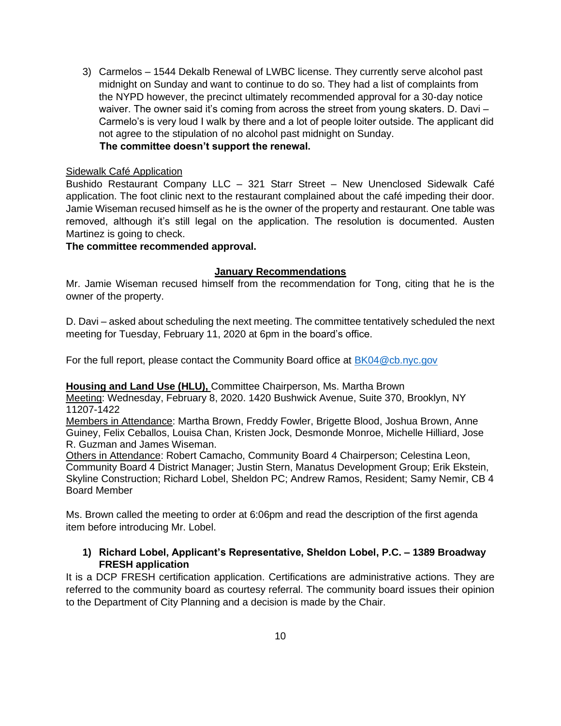3) Carmelos – 1544 Dekalb Renewal of LWBC license. They currently serve alcohol past midnight on Sunday and want to continue to do so. They had a list of complaints from the NYPD however, the precinct ultimately recommended approval for a 30-day notice waiver. The owner said it's coming from across the street from young skaters. D. Davi – Carmelo's is very loud I walk by there and a lot of people loiter outside. The applicant did not agree to the stipulation of no alcohol past midnight on Sunday.  **The committee doesn't support the renewal.** 

## Sidewalk Café Application

Bushido Restaurant Company LLC – 321 Starr Street – New Unenclosed Sidewalk Café application. The foot clinic next to the restaurant complained about the café impeding their door. Jamie Wiseman recused himself as he is the owner of the property and restaurant. One table was removed, although it's still legal on the application. The resolution is documented. Austen Martinez is going to check.

**The committee recommended approval.**

## **January Recommendations**

Mr. Jamie Wiseman recused himself from the recommendation for Tong, citing that he is the owner of the property.

D. Davi – asked about scheduling the next meeting. The committee tentatively scheduled the next meeting for Tuesday, February 11, 2020 at 6pm in the board's office.

For the full report, please contact the Community Board office at [BK04@cb.nyc.gov](mailto:BK04@cb.nyc.gov) 

### **Housing and Land Use (HLU),** Committee Chairperson, Ms. Martha Brown

Meeting: Wednesday, February 8, 2020. 1420 Bushwick Avenue, Suite 370, Brooklyn, NY 11207-1422

Members in Attendance: Martha Brown, Freddy Fowler, Brigette Blood, Joshua Brown, Anne Guiney, Felix Ceballos, Louisa Chan, Kristen Jock, Desmonde Monroe, Michelle Hilliard, Jose R. Guzman and James Wiseman.

Others in Attendance: Robert Camacho, Community Board 4 Chairperson; Celestina Leon, Community Board 4 District Manager; Justin Stern, Manatus Development Group; Erik Ekstein, Skyline Construction; Richard Lobel, Sheldon PC; Andrew Ramos, Resident; Samy Nemir, CB 4 Board Member

Ms. Brown called the meeting to order at 6:06pm and read the description of the first agenda item before introducing Mr. Lobel.

# **1) Richard Lobel, Applicant's Representative, Sheldon Lobel, P.C. – 1389 Broadway FRESH application**

It is a DCP FRESH certification application. Certifications are administrative actions. They are referred to the community board as courtesy referral. The community board issues their opinion to the Department of City Planning and a decision is made by the Chair.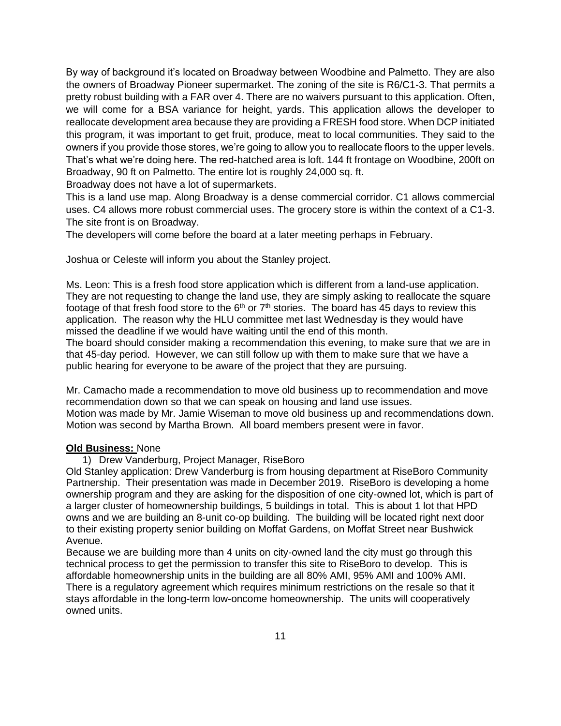By way of background it's located on Broadway between Woodbine and Palmetto. They are also the owners of Broadway Pioneer supermarket. The zoning of the site is R6/C1-3. That permits a pretty robust building with a FAR over 4. There are no waivers pursuant to this application. Often, we will come for a BSA variance for height, yards. This application allows the developer to reallocate development area because they are providing a FRESH food store. When DCP initiated this program, it was important to get fruit, produce, meat to local communities. They said to the owners if you provide those stores, we're going to allow you to reallocate floors to the upper levels. That's what we're doing here. The red-hatched area is loft. 144 ft frontage on Woodbine, 200ft on Broadway, 90 ft on Palmetto. The entire lot is roughly 24,000 sq. ft.

Broadway does not have a lot of supermarkets.

This is a land use map. Along Broadway is a dense commercial corridor. C1 allows commercial uses. C4 allows more robust commercial uses. The grocery store is within the context of a C1-3. The site front is on Broadway.

The developers will come before the board at a later meeting perhaps in February.

Joshua or Celeste will inform you about the Stanley project.

Ms. Leon: This is a fresh food store application which is different from a land-use application. They are not requesting to change the land use, they are simply asking to reallocate the square footage of that fresh food store to the  $6<sup>th</sup>$  or  $7<sup>th</sup>$  stories. The board has 45 days to review this application. The reason why the HLU committee met last Wednesday is they would have missed the deadline if we would have waiting until the end of this month.

The board should consider making a recommendation this evening, to make sure that we are in that 45-day period. However, we can still follow up with them to make sure that we have a public hearing for everyone to be aware of the project that they are pursuing.

Mr. Camacho made a recommendation to move old business up to recommendation and move recommendation down so that we can speak on housing and land use issues. Motion was made by Mr. Jamie Wiseman to move old business up and recommendations down. Motion was second by Martha Brown. All board members present were in favor.

#### **Old Business:** None

1) Drew Vanderburg, Project Manager, RiseBoro

Old Stanley application: Drew Vanderburg is from housing department at RiseBoro Community Partnership. Their presentation was made in December 2019. RiseBoro is developing a home ownership program and they are asking for the disposition of one city-owned lot, which is part of a larger cluster of homeownership buildings, 5 buildings in total. This is about 1 lot that HPD owns and we are building an 8-unit co-op building. The building will be located right next door to their existing property senior building on Moffat Gardens, on Moffat Street near Bushwick Avenue.

Because we are building more than 4 units on city-owned land the city must go through this technical process to get the permission to transfer this site to RiseBoro to develop. This is affordable homeownership units in the building are all 80% AMI, 95% AMI and 100% AMI. There is a regulatory agreement which requires minimum restrictions on the resale so that it stays affordable in the long-term low-oncome homeownership. The units will cooperatively owned units.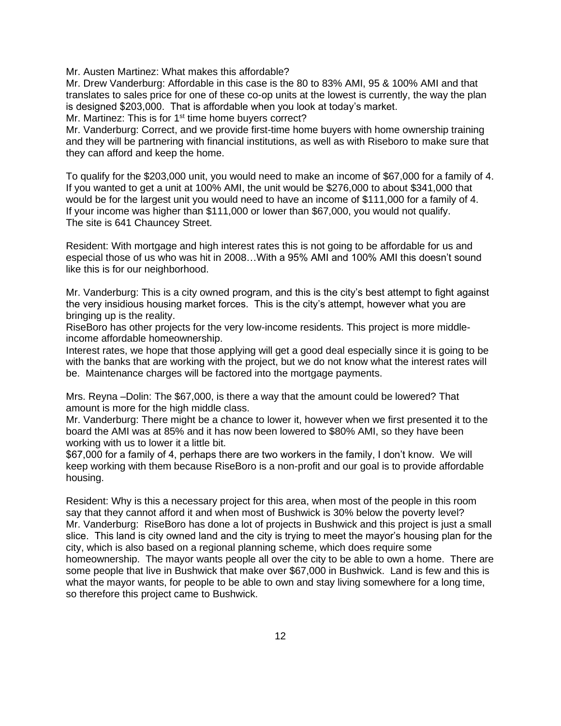Mr. Austen Martinez: What makes this affordable?

Mr. Drew Vanderburg: Affordable in this case is the 80 to 83% AMI, 95 & 100% AMI and that translates to sales price for one of these co-op units at the lowest is currently, the way the plan is designed \$203,000. That is affordable when you look at today's market. Mr. Martinez: This is for 1<sup>st</sup> time home buyers correct?

Mr. Vanderburg: Correct, and we provide first-time home buyers with home ownership training and they will be partnering with financial institutions, as well as with Riseboro to make sure that they can afford and keep the home.

To qualify for the \$203,000 unit, you would need to make an income of \$67,000 for a family of 4. If you wanted to get a unit at 100% AMI, the unit would be \$276,000 to about \$341,000 that would be for the largest unit you would need to have an income of \$111,000 for a family of 4. If your income was higher than \$111,000 or lower than \$67,000, you would not qualify. The site is 641 Chauncey Street.

Resident: With mortgage and high interest rates this is not going to be affordable for us and especial those of us who was hit in 2008…With a 95% AMI and 100% AMI this doesn't sound like this is for our neighborhood.

Mr. Vanderburg: This is a city owned program, and this is the city's best attempt to fight against the very insidious housing market forces. This is the city's attempt, however what you are bringing up is the reality.

RiseBoro has other projects for the very low-income residents. This project is more middleincome affordable homeownership.

Interest rates, we hope that those applying will get a good deal especially since it is going to be with the banks that are working with the project, but we do not know what the interest rates will be. Maintenance charges will be factored into the mortgage payments.

Mrs. Reyna –Dolin: The \$67,000, is there a way that the amount could be lowered? That amount is more for the high middle class.

Mr. Vanderburg: There might be a chance to lower it, however when we first presented it to the board the AMI was at 85% and it has now been lowered to \$80% AMI, so they have been working with us to lower it a little bit.

\$67,000 for a family of 4, perhaps there are two workers in the family, I don't know. We will keep working with them because RiseBoro is a non-profit and our goal is to provide affordable housing.

Resident: Why is this a necessary project for this area, when most of the people in this room say that they cannot afford it and when most of Bushwick is 30% below the poverty level? Mr. Vanderburg: RiseBoro has done a lot of projects in Bushwick and this project is just a small slice. This land is city owned land and the city is trying to meet the mayor's housing plan for the city, which is also based on a regional planning scheme, which does require some homeownership. The mayor wants people all over the city to be able to own a home. There are some people that live in Bushwick that make over \$67,000 in Bushwick. Land is few and this is what the mayor wants, for people to be able to own and stay living somewhere for a long time, so therefore this project came to Bushwick.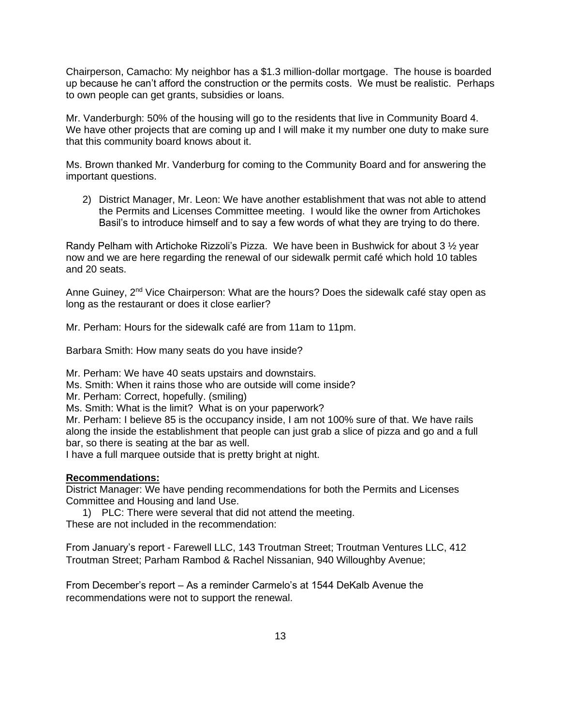Chairperson, Camacho: My neighbor has a \$1.3 million-dollar mortgage. The house is boarded up because he can't afford the construction or the permits costs. We must be realistic. Perhaps to own people can get grants, subsidies or loans.

Mr. Vanderburgh: 50% of the housing will go to the residents that live in Community Board 4. We have other projects that are coming up and I will make it my number one duty to make sure that this community board knows about it.

Ms. Brown thanked Mr. Vanderburg for coming to the Community Board and for answering the important questions.

2) District Manager, Mr. Leon: We have another establishment that was not able to attend the Permits and Licenses Committee meeting. I would like the owner from Artichokes Basil's to introduce himself and to say a few words of what they are trying to do there.

Randy Pelham with Artichoke Rizzoli's Pizza. We have been in Bushwick for about 3 <sup>1</sup>/<sub>2</sub> year now and we are here regarding the renewal of our sidewalk permit café which hold 10 tables and 20 seats.

Anne Guiney, 2<sup>nd</sup> Vice Chairperson: What are the hours? Does the sidewalk café stay open as long as the restaurant or does it close earlier?

Mr. Perham: Hours for the sidewalk café are from 11am to 11pm.

Barbara Smith: How many seats do you have inside?

Mr. Perham: We have 40 seats upstairs and downstairs.

Ms. Smith: When it rains those who are outside will come inside?

Mr. Perham: Correct, hopefully. (smiling)

Ms. Smith: What is the limit? What is on your paperwork?

Mr. Perham: I believe 85 is the occupancy inside, I am not 100% sure of that. We have rails along the inside the establishment that people can just grab a slice of pizza and go and a full bar, so there is seating at the bar as well.

I have a full marquee outside that is pretty bright at night.

#### **Recommendations:**

District Manager: We have pending recommendations for both the Permits and Licenses Committee and Housing and land Use.

1) PLC: There were several that did not attend the meeting. These are not included in the recommendation:

From January's report - Farewell LLC, 143 Troutman Street; Troutman Ventures LLC, 412 Troutman Street; Parham Rambod & Rachel Nissanian, 940 Willoughby Avenue;

From December's report – As a reminder Carmelo's at 1544 DeKalb Avenue the recommendations were not to support the renewal.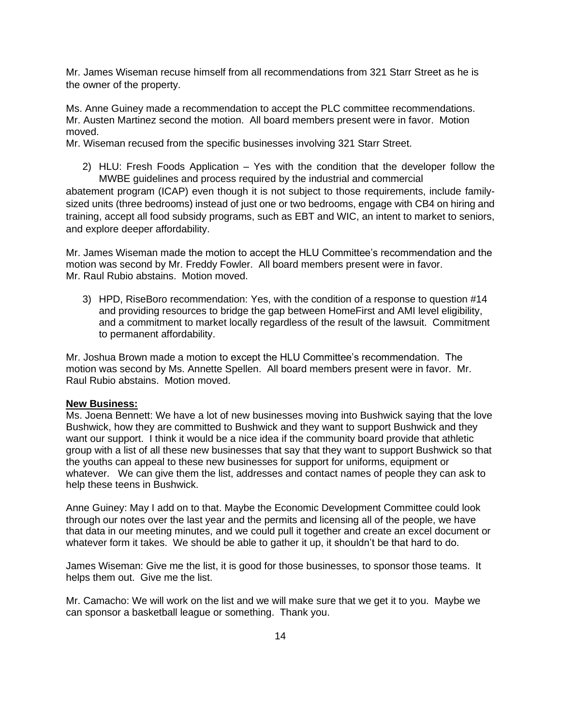Mr. James Wiseman recuse himself from all recommendations from 321 Starr Street as he is the owner of the property.

Ms. Anne Guiney made a recommendation to accept the PLC committee recommendations. Mr. Austen Martinez second the motion. All board members present were in favor. Motion moved.

Mr. Wiseman recused from the specific businesses involving 321 Starr Street.

2) HLU: Fresh Foods Application – Yes with the condition that the developer follow the MWBE guidelines and process required by the industrial and commercial

abatement program (ICAP) even though it is not subject to those requirements, include familysized units (three bedrooms) instead of just one or two bedrooms, engage with CB4 on hiring and training, accept all food subsidy programs, such as EBT and WIC, an intent to market to seniors, and explore deeper affordability.

Mr. James Wiseman made the motion to accept the HLU Committee's recommendation and the motion was second by Mr. Freddy Fowler. All board members present were in favor. Mr. Raul Rubio abstains. Motion moved.

3) HPD, RiseBoro recommendation: Yes, with the condition of a response to question #14 and providing resources to bridge the gap between HomeFirst and AMI level eligibility, and a commitment to market locally regardless of the result of the lawsuit. Commitment to permanent affordability.

Mr. Joshua Brown made a motion to except the HLU Committee's recommendation. The motion was second by Ms. Annette Spellen. All board members present were in favor. Mr. Raul Rubio abstains. Motion moved.

#### **New Business:**

Ms. Joena Bennett: We have a lot of new businesses moving into Bushwick saying that the love Bushwick, how they are committed to Bushwick and they want to support Bushwick and they want our support. I think it would be a nice idea if the community board provide that athletic group with a list of all these new businesses that say that they want to support Bushwick so that the youths can appeal to these new businesses for support for uniforms, equipment or whatever. We can give them the list, addresses and contact names of people they can ask to help these teens in Bushwick.

Anne Guiney: May I add on to that. Maybe the Economic Development Committee could look through our notes over the last year and the permits and licensing all of the people, we have that data in our meeting minutes, and we could pull it together and create an excel document or whatever form it takes. We should be able to gather it up, it shouldn't be that hard to do.

James Wiseman: Give me the list, it is good for those businesses, to sponsor those teams. It helps them out. Give me the list.

Mr. Camacho: We will work on the list and we will make sure that we get it to you. Maybe we can sponsor a basketball league or something. Thank you.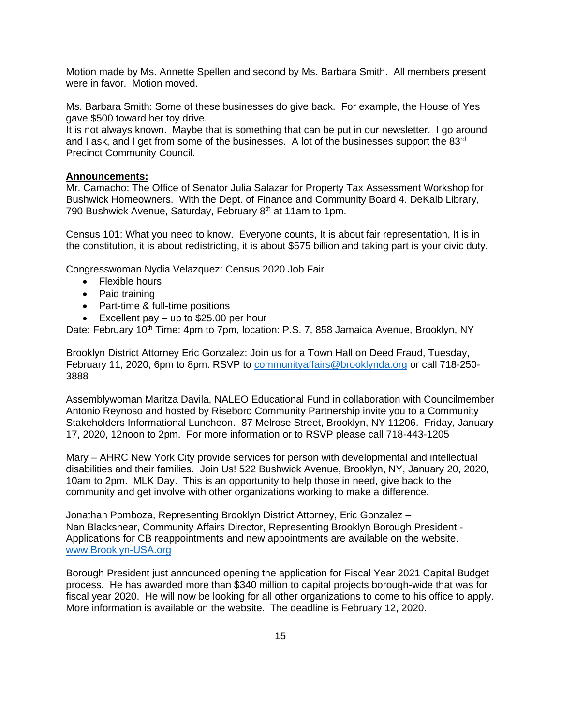Motion made by Ms. Annette Spellen and second by Ms. Barbara Smith. All members present were in favor. Motion moved.

Ms. Barbara Smith: Some of these businesses do give back. For example, the House of Yes gave \$500 toward her toy drive.

It is not always known. Maybe that is something that can be put in our newsletter. I go around and I ask, and I get from some of the businesses. A lot of the businesses support the 83<sup>rd</sup> Precinct Community Council.

#### **Announcements:**

Mr. Camacho: The Office of Senator Julia Salazar for Property Tax Assessment Workshop for Bushwick Homeowners. With the Dept. of Finance and Community Board 4. DeKalb Library, 790 Bushwick Avenue, Saturday, February 8<sup>th</sup> at 11am to 1pm.

Census 101: What you need to know. Everyone counts, It is about fair representation, It is in the constitution, it is about redistricting, it is about \$575 billion and taking part is your civic duty.

Congresswoman Nydia Velazquez: Census 2020 Job Fair

- Flexible hours
- Paid training
- Part-time & full-time positions
- Excellent pay up to \$25.00 per hour

Date: February 10<sup>th</sup> Time: 4pm to 7pm, location: P.S. 7, 858 Jamaica Avenue, Brooklyn, NY

Brooklyn District Attorney Eric Gonzalez: Join us for a Town Hall on Deed Fraud, Tuesday, February 11, 2020, 6pm to 8pm. RSVP to [communityaffairs@brooklynda.org](mailto:communityaffairs@brooklynda.org) or call 718-250- 3888

Assemblywoman Maritza Davila, NALEO Educational Fund in collaboration with Councilmember Antonio Reynoso and hosted by Riseboro Community Partnership invite you to a Community Stakeholders Informational Luncheon. 87 Melrose Street, Brooklyn, NY 11206. Friday, January 17, 2020, 12noon to 2pm. For more information or to RSVP please call 718-443-1205

Mary – AHRC New York City provide services for person with developmental and intellectual disabilities and their families. Join Us! 522 Bushwick Avenue, Brooklyn, NY, January 20, 2020, 10am to 2pm. MLK Day. This is an opportunity to help those in need, give back to the community and get involve with other organizations working to make a difference.

Jonathan Pomboza, Representing Brooklyn District Attorney, Eric Gonzalez – Nan Blackshear, Community Affairs Director, Representing Brooklyn Borough President - Applications for CB reappointments and new appointments are available on the website. [www.Brooklyn-USA.org](http://www.brooklyn-usa.org/)

Borough President just announced opening the application for Fiscal Year 2021 Capital Budget process. He has awarded more than \$340 million to capital projects borough-wide that was for fiscal year 2020. He will now be looking for all other organizations to come to his office to apply. More information is available on the website. The deadline is February 12, 2020.